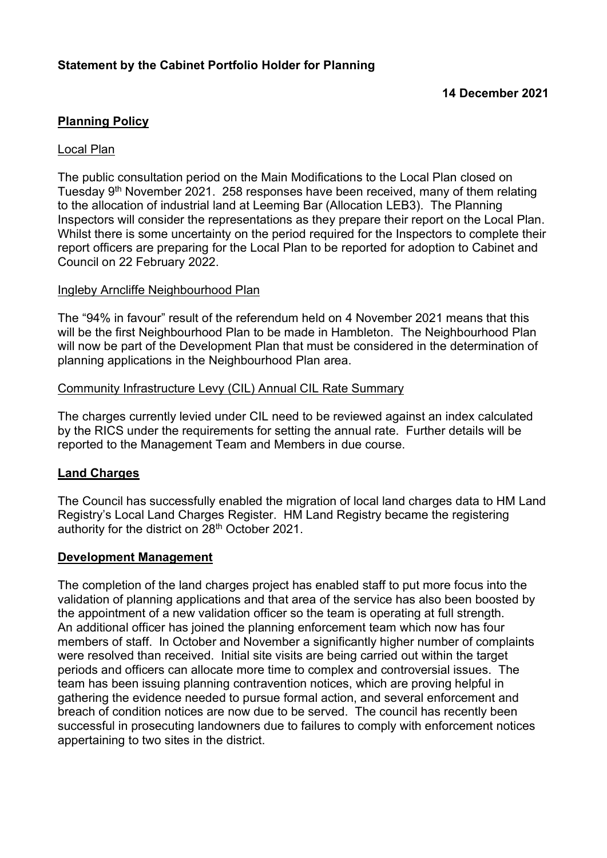# Planning Policy

### Local Plan

The public consultation period on the Main Modifications to the Local Plan closed on Tuesday 9th November 2021. 258 responses have been received, many of them relating to the allocation of industrial land at Leeming Bar (Allocation LEB3). The Planning Inspectors will consider the representations as they prepare their report on the Local Plan. Whilst there is some uncertainty on the period required for the Inspectors to complete their report officers are preparing for the Local Plan to be reported for adoption to Cabinet and Council on 22 February 2022.

#### Ingleby Arncliffe Neighbourhood Plan

The "94% in favour" result of the referendum held on 4 November 2021 means that this will be the first Neighbourhood Plan to be made in Hambleton. The Neighbourhood Plan will now be part of the Development Plan that must be considered in the determination of planning applications in the Neighbourhood Plan area.

#### Community Infrastructure Levy (CIL) Annual CIL Rate Summary

The charges currently levied under CIL need to be reviewed against an index calculated by the RICS under the requirements for setting the annual rate. Further details will be reported to the Management Team and Members in due course.

## Land Charges

The Council has successfully enabled the migration of local land charges data to HM Land Registry's Local Land Charges Register. HM Land Registry became the registering authority for the district on 28<sup>th</sup> October 2021.

## Development Management

The completion of the land charges project has enabled staff to put more focus into the validation of planning applications and that area of the service has also been boosted by the appointment of a new validation officer so the team is operating at full strength. An additional officer has joined the planning enforcement team which now has four members of staff. In October and November a significantly higher number of complaints were resolved than received. Initial site visits are being carried out within the target periods and officers can allocate more time to complex and controversial issues. The team has been issuing planning contravention notices, which are proving helpful in gathering the evidence needed to pursue formal action, and several enforcement and breach of condition notices are now due to be served. The council has recently been successful in prosecuting landowners due to failures to comply with enforcement notices appertaining to two sites in the district.